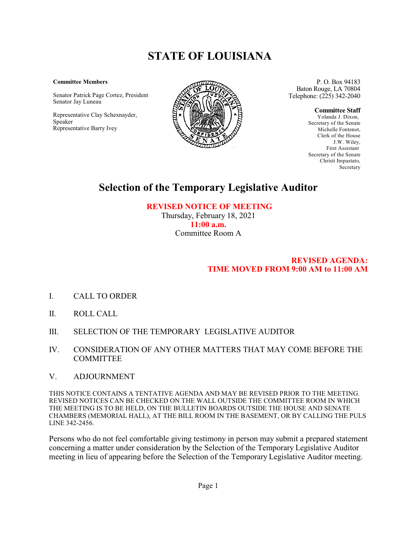# **STATE OF LOUISIANA**

#### **Committee Members**

Senator Patrick Page Cortez, President Senator Jay Luneau

Representative Clay Schexnayder, Speaker Representative Barry Ivey



P. O. Box 94183 Baton Rouge, LA 70804 Telephone: (225) 342-2040

**Committee Staff**

Yolanda J. Dixon, Secretary of the Senate Michelle Fontenot, Clerk of the House J.W. Wiley, First Assistant Secretary of the Senate Christi Impastato, **Secretary** 

## **Selection of the Temporary Legislative Auditor**

 **REVISED NOTICE OF MEETING** Thursday, February 18, 2021

**11:00 a.m.** Committee Room A

### **REVISED AGENDA: TIME MOVED FROM 9:00 AM to 11:00 AM**

- I. CALL TO ORDER
- II. ROLL CALL
- III. SELECTION OF THE TEMPORARY LEGISLATIVE AUDITOR
- IV. CONSIDERATION OF ANY OTHER MATTERS THAT MAY COME BEFORE THE COMMITTEE

### V. ADJOURNMENT

THIS NOTICE CONTAINS A TENTATIVE AGENDA AND MAY BE REVISED PRIOR TO THE MEETING. REVISED NOTICES CAN BE CHECKED ON THE WALL OUTSIDE THE COMMITTEE ROOM IN WHICH THE MEETING IS TO BE HELD, ON THE BULLETIN BOARDS OUTSIDE THE HOUSE AND SENATE CHAMBERS (MEMORIAL HALL), AT THE BILL ROOM IN THE BASEMENT, OR BY CALLING THE PULS LINE 342-2456.

Persons who do not feel comfortable giving testimony in person may submit a prepared statement concerning a matter under consideration by the Selection of the Temporary Legislative Auditor meeting in lieu of appearing before the Selection of the Temporary Legislative Auditor meeting.